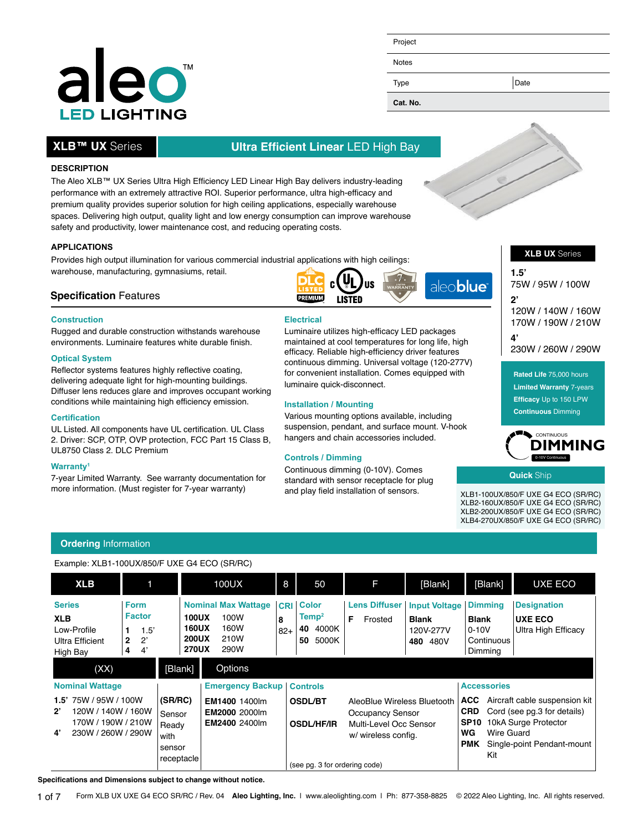### A lec **LED LIGHTING**

### Project

Notes

Type Date

**Cat. No.**

#### **APPLICATIONS**

**DESCRIPTION**

**XLB™ UX** Series

Provides high output illumination for various commercial industrial applications with high ceilings: warehouse, manufacturing, gymnasiums, retail.

The Aleo XLB™ UX Series Ultra High Efficiency LED Linear High Bay delivers industry-leading performance with an extremely attractive ROI. Superior performance, ultra high-efficacy and premium quality provides superior solution for high ceiling applications, especially warehouse spaces. Delivering high output, quality light and low energy consumption can improve warehouse

safety and productivity, lower maintenance cost, and reducing operating costs.

#### **Specification** Features

#### **Construction**

Rugged and durable construction withstands warehouse environments. Luminaire features white durable finish.

#### **Optical System**

Reflector systems features highly reflective coating, delivering adequate light for high-mounting buildings. Diffuser lens reduces glare and improves occupant working conditions while maintaining high efficiency emission.

#### **Certification**

UL Listed. All components have UL certification. UL Class 2. Driver: SCP, OTP, OVP protection, FCC Part 15 Class B, UL8750 Class 2. DLC Premium

#### **Warranty1**

7-year Limited Warranty. See warranty documentation for more information. (Must register for 7-year warranty)

#### **Electrical**

**PREMIUM** 

**I ISTED** 

Luminaire utilizes high-efficacy LED packages maintained at cool temperatures for long life, high efficacy. Reliable high-efficiency driver features continuous dimming. Universal voltage (120-277V) for convenient installation. Comes equipped with luminaire quick-disconnect.

#### **Installation / Mounting**

**Ultra Efficient Linear** LED High Bay

Various mounting options available, including suspension, pendant, and surface mount. V-hook hangers and chain accessories included.

#### **Controls / Dimming**

Continuous dimming (0-10V). Comes standard with sensor receptacle for plug and play field installation of sensors.

#### **XLB UX** Series

**1.5'**  75W / 95W / 100W

**2'**  120W / 140W / 160W 170W / 190W / 210W

**4'**  230W / 260W / 290W

**Rated Life** 75,000 hours **Limited Warranty** 7-years **Efficacy** Up to 150 LPW **Continuous** Dimming



**Quick** Ship

XLB1-100UX/850/F UXE G4 ECO (SR/RC) XLB2-160UX/850/F UXE G4 ECO (SR/RC) XLB2-200UX/850/F UXE G4 ECO (SR/RC) XLB4-270UX/850/F UXE G4 ECO (SR/RC)

#### **Ordering** Information

Example: XLB1-100UX/850/F UXE G4 ECO (SR/RC)

| <b>XLB</b>                                                                                                                                        |                                                               |                                               | 100UX                                                                                                                      | 8          | 50                                                                  | F                                                                                                | [Blank]                                                       | [Blank]                                                                     | UXE ECO                                                                              |
|---------------------------------------------------------------------------------------------------------------------------------------------------|---------------------------------------------------------------|-----------------------------------------------|----------------------------------------------------------------------------------------------------------------------------|------------|---------------------------------------------------------------------|--------------------------------------------------------------------------------------------------|---------------------------------------------------------------|-----------------------------------------------------------------------------|--------------------------------------------------------------------------------------|
| <b>Series</b><br><b>XLB</b><br>Low-Profile<br>Ultra Efficient<br>High Bay                                                                         | Form<br><b>Factor</b><br>1.5'<br>$2^{\prime}$<br>2<br>4'<br>4 |                                               | <b>Nominal Max Wattage</b><br><b>100UX</b><br>100W<br><b>160UX</b><br>160W<br><b>200UX</b><br>210W<br><b>270UX</b><br>290W | 8<br>$82+$ | <b>CRI Color</b><br>Temp <sup>2</sup><br>4000K<br>40<br>5000K<br>50 | <b>Lens Diffuser</b><br>F<br>Frosted                                                             | <b>Input Voltage</b><br><b>Blank</b><br>120V-277V<br>480 480V | <b>Dimmina</b><br><b>Blank</b><br>$0 - 10V$<br>Continuous<br>Dimming        | <b>Designation</b><br><b>UXE ECO</b><br>Ultra High Efficacy                          |
| (XX)<br><b>Nominal Wattage</b><br>75W / 95W / 100W<br>1.5'<br>$2^{\circ}$<br>120W / 140W / 160W<br>170W / 190W / 210W<br>230W / 260W / 290W<br>4' |                                                               | [Blank]<br>(SR/RC)<br>Sensor<br>Ready<br>with | Options<br><b>Emergency Backup</b><br>EM1400 1400lm<br><b>EM2000 2000lm</b><br><b>EM2400 2400lm</b>                        |            | <b>Controls</b><br><b>OSDL/BT</b><br><b>OSDL/HF/IR</b>              | AleoBlue Wireless Bluetooth<br>Occupancy Sensor<br>Multi-Level Occ Sensor<br>w/ wireless config. |                                                               | <b>Accessories</b><br>ACC.<br><b>CRD</b><br><b>SP10</b><br>WG<br>Wire Guard | Aircraft cable suspension kit<br>Cord (see pg.3 for details)<br>10kA Surge Protector |
|                                                                                                                                                   |                                                               | sensor<br>receptacle                          |                                                                                                                            |            | (see pq. 3 for ordering code)                                       |                                                                                                  |                                                               | <b>PMK</b><br>Kit                                                           | Single-point Pendant-mount                                                           |

**Specifications and Dimensions subject to change without notice.**



aleo**blue**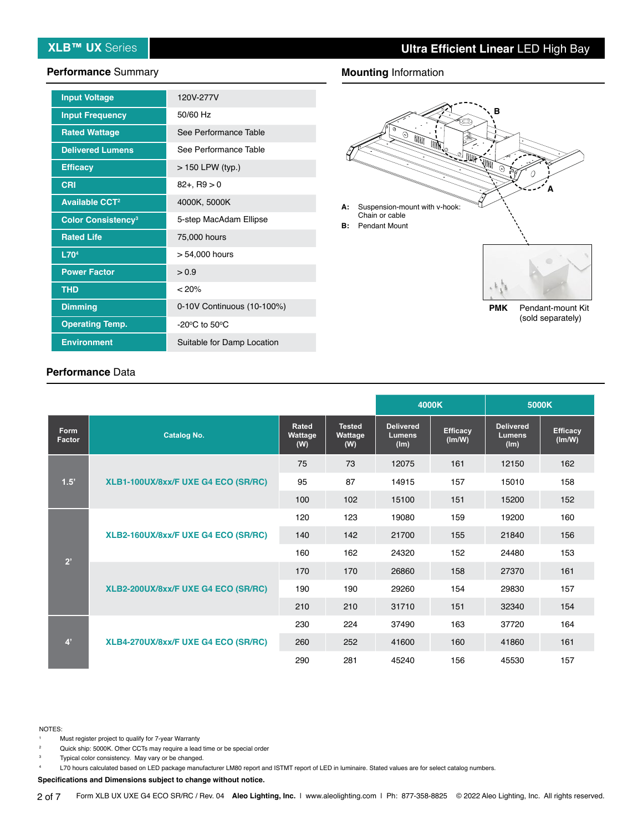#### **Performance** Summary

| <b>Input Voltage</b>                 | 120V-277V                          |
|--------------------------------------|------------------------------------|
| <b>Input Frequency</b>               | 50/60 Hz                           |
| <b>Rated Wattage</b>                 | See Performance Table              |
| <b>Delivered Lumens</b>              | See Performance Table              |
| <b>Efficacy</b>                      | $>$ 150 LPW (typ.)                 |
| <b>CRI</b>                           | $82 + R9 > 0$                      |
| <b>Available CCT<sup>2</sup></b>     | 4000K, 5000K                       |
| <b>Color Consistency<sup>3</sup></b> | 5-step MacAdam Ellipse             |
| <b>Rated Life</b>                    | 75,000 hours                       |
| L70 <sup>4</sup>                     | > 54,000 hours                     |
| <b>Power Factor</b>                  | > 0.9                              |
| <b>THD</b>                           | < 20%                              |
| <b>Dimming</b>                       | 0-10V Continuous (10-100%)         |
| <b>Operating Temp.</b>               | $-20^{\circ}$ C to 50 $^{\circ}$ C |
| <b>Environment</b>                   | Suitable for Damp Location         |

#### **Mounting** Information



#### **Performance** Data

|                |                                     |                                |                                 |                                           | 4000K                     | 5000K                                     |                           |
|----------------|-------------------------------------|--------------------------------|---------------------------------|-------------------------------------------|---------------------------|-------------------------------------------|---------------------------|
| Form<br>Factor | <b>Catalog No.</b>                  | <b>Rated</b><br>Wattage<br>(W) | <b>Tested</b><br>Wattage<br>(W) | <b>Delivered</b><br><b>Lumens</b><br>(lm) | <b>Efficacy</b><br>(Im/W) | <b>Delivered</b><br><b>Lumens</b><br>(lm) | <b>Efficacy</b><br>(lm/W) |
| 1.5'           |                                     | 75                             | 73                              | 12075                                     | 161                       | 12150                                     | 162                       |
|                | XLB1-100UX/8xx/F UXE G4 ECO (SR/RC) | 95                             | 87                              | 14915                                     | 157                       | 15010                                     | 158                       |
|                |                                     | 100                            | 102                             | 15100                                     | 151                       | 15200                                     | 152                       |
| 2'             |                                     | 120                            | 123                             | 19080                                     | 159                       | 19200                                     | 160                       |
|                | XLB2-160UX/8xx/F UXE G4 ECO (SR/RC) | 140                            | 142                             | 21700                                     | 155                       | 21840                                     | 156                       |
|                |                                     | 160                            | 162                             | 24320                                     | 152                       | 24480                                     | 153                       |
|                | XLB2-200UX/8xx/F UXE G4 ECO (SR/RC) | 170                            | 170                             | 26860                                     | 158                       | 27370                                     | 161                       |
|                |                                     | 190                            | 190                             | 29260                                     | 154                       | 29830                                     | 157                       |
|                |                                     | 210                            | 210                             | 31710                                     | 151                       | 32340                                     | 154                       |
| 4 <sup>7</sup> |                                     | 230                            | 224                             | 37490                                     | 163                       | 37720                                     | 164                       |
|                | XLB4-270UX/8xx/F UXE G4 ECO (SR/RC) | 260                            | 252                             | 41600                                     | 160                       | 41860                                     | 161                       |
|                |                                     | 290                            | 281                             | 45240                                     | 156                       | 45530                                     | 157                       |

#### NOTES:

- Must register project to qualify for 7-year Warranty
- <sup>2</sup> Quick ship: 5000K. Other CCTs may require a lead time or be special order

Typical color consistency. May vary or be changed. <sup>4</sup> L70 hours calculated based on LED package manufacturer LM80 report and ISTMT report of LED in luminaire. Stated values are for select catalog numbers.

**Specifications and Dimensions subject to change without notice.**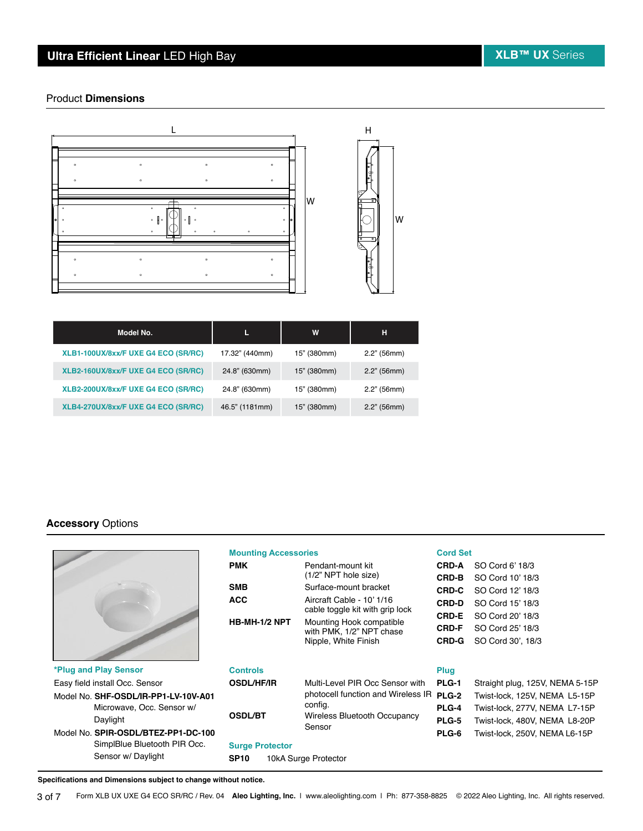### **Ultra Efficient Linear LED High Bay XLB™ UX** Series

#### Product **Dimensions**



2.16" (54.8mm)

| Model No.                           |                | W           | н              |
|-------------------------------------|----------------|-------------|----------------|
| XLB1-100UX/8xx/F UXE G4 ECO (SR/RC) | 17.32" (440mm) | 15" (380mm) | $2.2$ " (56mm) |
| XLB2-160UX/8xx/F UXE G4 ECO (SR/RC) | 24.8" (630mm)  | 15" (380mm) | $2.2$ " (56mm) |
| XLB2-200UX/8xx/F UXE G4 ECO (SR/RC) | 24.8" (630mm)  | 15" (380mm) | $2.2$ " (56mm) |
| XLB4-270UX/8xx/F UXE G4 ECO (SR/RC) | 46.5" (1181mm) | 15" (380mm) | $2.2$ " (56mm) |

#### **Accessory** Options



|                                      | <b>Mounting Accessories</b>         |                                                              |              | <b>Cord Set</b>                 |  |  |
|--------------------------------------|-------------------------------------|--------------------------------------------------------------|--------------|---------------------------------|--|--|
|                                      | <b>PMK</b>                          | Pendant-mount kit                                            | <b>CRD-A</b> | SO Cord 6' 18/3                 |  |  |
|                                      |                                     | (1/2" NPT hole size)                                         | CRD-B        | SO Cord 10' 18/3                |  |  |
|                                      | <b>SMB</b>                          | Surface-mount bracket                                        | <b>CRD-C</b> | SO Cord 12' 18/3                |  |  |
|                                      | <b>ACC</b>                          | Aircraft Cable - 10' 1/16<br>cable toggle kit with grip lock | <b>CRD-D</b> | SO Cord 15' 18/3                |  |  |
|                                      | HB-MH-1/2 NPT                       | Mounting Hook compatible                                     | <b>CRD-E</b> | SO Cord 20' 18/3                |  |  |
|                                      |                                     | with PMK, 1/2" NPT chase                                     | <b>CRD-F</b> | SO Cord 25' 18/3                |  |  |
|                                      |                                     | Nipple, White Finish                                         | <b>CRD-G</b> | SO Cord 30', 18/3               |  |  |
| *Plug and Play Sensor                | <b>Controls</b>                     |                                                              | Plug         |                                 |  |  |
| Easy field install Occ. Sensor       | <b>OSDL/HF/IR</b>                   | Multi-Level PIR Occ Sensor with                              | PLG-1        | Straight plug, 125V, NEMA 5-15P |  |  |
| Model No. SHF-OSDL/IR-PP1-LV-10V-A01 |                                     | photocell function and Wireless IR                           | PLG-2        | Twist-lock, 125V, NEMA L5-15P   |  |  |
| Microwave, Occ. Sensor w/            |                                     | config.                                                      | PLG-4        | Twist-lock, 277V, NEMA L7-15P   |  |  |
| Daylight                             | <b>OSDL/BT</b>                      | <b>Wireless Bluetooth Occupancy</b>                          | <b>PLG-5</b> | Twist-lock, 480V, NEMA L8-20P   |  |  |
| Model No. SPIR-OSDL/BTEZ-PP1-DC-100  |                                     | Sensor                                                       | PLG-6        | Twist-lock, 250V, NEMA L6-15P   |  |  |
| SimplBlue Bluetooth PIR Occ.         | <b>Surge Protector</b>              |                                                              |              |                                 |  |  |
| Sensor w/ Daylight                   | <b>SP10</b><br>10kA Surge Protector |                                                              |              |                                 |  |  |

**Specifications and Dimensions subject to change without notice.**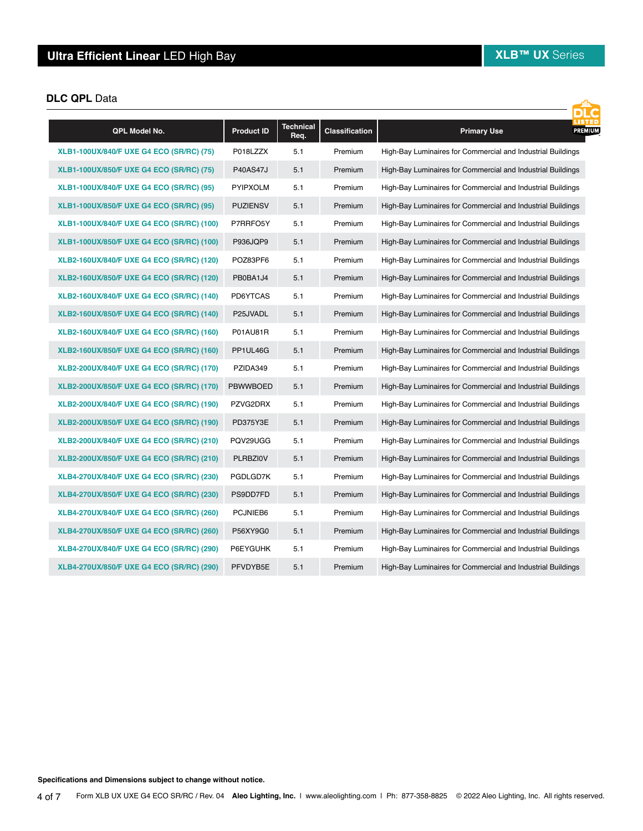#### **DLC QPL** Data

| QPL Model No.                             | <b>Product ID</b> | <b>Technical</b><br>Req. | <b>Classification</b> | LISTED<br>PREMIUM<br><b>Primary Use</b>                     |
|-------------------------------------------|-------------------|--------------------------|-----------------------|-------------------------------------------------------------|
| XLB1-100UX/840/F UXE G4 ECO (SR/RC) (75)  | P018LZZX          | 5.1                      | Premium               | High-Bay Luminaires for Commercial and Industrial Buildings |
| XLB1-100UX/850/F UXE G4 ECO (SR/RC) (75)  | <b>P40AS47J</b>   | 5.1                      | Premium               | High-Bay Luminaires for Commercial and Industrial Buildings |
| XLB1-100UX/840/F UXE G4 ECO (SR/RC) (95)  | <b>PYIPXOLM</b>   | 5.1                      | Premium               | High-Bay Luminaires for Commercial and Industrial Buildings |
| XLB1-100UX/850/F UXE G4 ECO (SR/RC) (95)  | <b>PUZIENSV</b>   | 5.1                      | Premium               | High-Bay Luminaires for Commercial and Industrial Buildings |
| XLB1-100UX/840/F UXE G4 ECO (SR/RC) (100) | P7RRFO5Y          | 5.1                      | Premium               | High-Bay Luminaires for Commercial and Industrial Buildings |
| XLB1-100UX/850/F UXE G4 ECO (SR/RC) (100) | P936JQP9          | 5.1                      | Premium               | High-Bay Luminaires for Commercial and Industrial Buildings |
| XLB2-160UX/840/F UXE G4 ECO (SR/RC) (120) | POZ83PF6          | 5.1                      | Premium               | High-Bay Luminaires for Commercial and Industrial Buildings |
| XLB2-160UX/850/F UXE G4 ECO (SR/RC) (120) | PB0BA1J4          | 5.1                      | Premium               | High-Bay Luminaires for Commercial and Industrial Buildings |
| XLB2-160UX/840/F UXE G4 ECO (SR/RC) (140) | PD6YTCAS          | 5.1                      | Premium               | High-Bay Luminaires for Commercial and Industrial Buildings |
| XLB2-160UX/850/F UXE G4 ECO (SR/RC) (140) | P25JVADL          | 5.1                      | Premium               | High-Bay Luminaires for Commercial and Industrial Buildings |
| XLB2-160UX/840/F UXE G4 ECO (SR/RC) (160) | P01AU81R          | 5.1                      | Premium               | High-Bay Luminaires for Commercial and Industrial Buildings |
| XLB2-160UX/850/F UXE G4 ECO (SR/RC) (160) | PP1UL46G          | 5.1                      | Premium               | High-Bay Luminaires for Commercial and Industrial Buildings |
| XLB2-200UX/840/F UXE G4 ECO (SR/RC) (170) | PZIDA349          | 5.1                      | Premium               | High-Bay Luminaires for Commercial and Industrial Buildings |
| XLB2-200UX/850/F UXE G4 ECO (SR/RC) (170) | <b>PBWWBOED</b>   | 5.1                      | Premium               | High-Bay Luminaires for Commercial and Industrial Buildings |
| XLB2-200UX/840/F UXE G4 ECO (SR/RC) (190) | PZVG2DRX          | 5.1                      | Premium               | High-Bay Luminaires for Commercial and Industrial Buildings |
| XLB2-200UX/850/F UXE G4 ECO (SR/RC) (190) | PD375Y3E          | 5.1                      | Premium               | High-Bay Luminaires for Commercial and Industrial Buildings |
| XLB2-200UX/840/F UXE G4 ECO (SR/RC) (210) | PQV29UGG          | 5.1                      | Premium               | High-Bay Luminaires for Commercial and Industrial Buildings |
| XLB2-200UX/850/F UXE G4 ECO (SR/RC) (210) | <b>PLRBZIOV</b>   | 5.1                      | Premium               | High-Bay Luminaires for Commercial and Industrial Buildings |
| XLB4-270UX/840/F UXE G4 ECO (SR/RC) (230) | PGDLGD7K          | 5.1                      | Premium               | High-Bay Luminaires for Commercial and Industrial Buildings |
| XLB4-270UX/850/F UXE G4 ECO (SR/RC) (230) | PS9DD7FD          | 5.1                      | Premium               | High-Bay Luminaires for Commercial and Industrial Buildings |
| XLB4-270UX/840/F UXE G4 ECO (SR/RC) (260) | PCJNIEB6          | 5.1                      | Premium               | High-Bay Luminaires for Commercial and Industrial Buildings |
| XLB4-270UX/850/F UXE G4 ECO (SR/RC) (260) | P56XY9G0          | 5.1                      | Premium               | High-Bay Luminaires for Commercial and Industrial Buildings |
| XLB4-270UX/840/F UXE G4 ECO (SR/RC) (290) | P6EYGUHK          | 5.1                      | Premium               | High-Bay Luminaires for Commercial and Industrial Buildings |
| XLB4-270UX/850/F UXE G4 ECO (SR/RC) (290) | PFVDYB5E          | 5.1                      | Premium               | High-Bay Luminaires for Commercial and Industrial Buildings |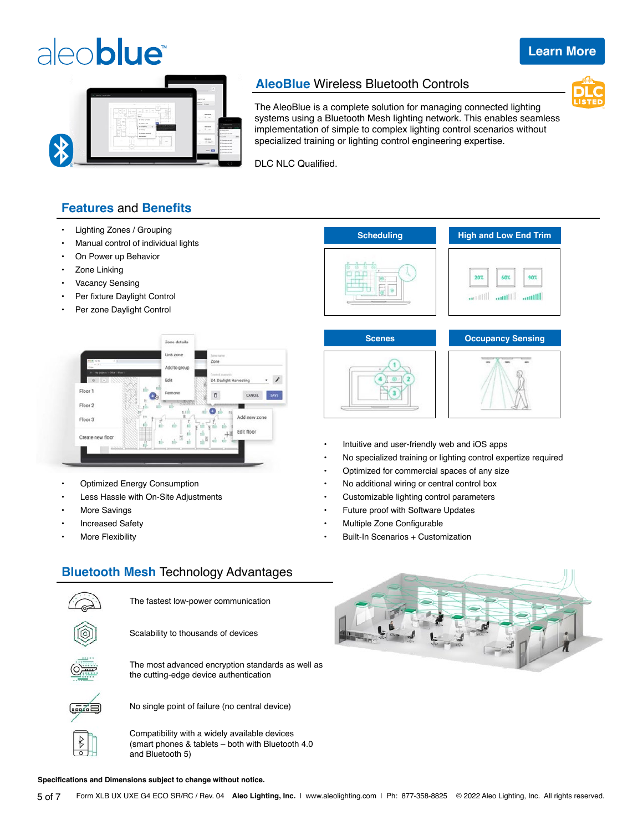# aleoblue®

#### **[Learn More](https://www.aleolighting.com/aleoblue/)**



#### **AleoBlue** Wireless Bluetooth Controls



The AleoBlue is a complete solution for managing connected lighting systems using a Bluetooth Mesh lighting network. This enables seamless implementation of simple to complex lighting control scenarios without specialized training or lighting control engineering expertise.

DLC NLC Qualified.

#### **Features** and **Benefits**

- Lighting Zones / Grouping
- Manual control of individual lights
- On Power up Behavior
- Zone Linking
- Vacancy Sensing
- Per fixture Daylight Control
- Per zone Daylight Control



- Optimized Energy Consumption
- Less Hassle with On-Site Adjustments
- More Savings
- Increased Safety
- More Flexibility









- Intuitive and user-friendly web and iOS apps
- No specialized training or lighting control expertize required
- Optimized for commercial spaces of any size
- No additional wiring or central control box
- Customizable lighting control parameters
- Future proof with Software Updates
- Multiple Zone Configurable
- Built-In Scenarios + Customization



#### **Bluetooth Mesh** Technology Advantages



#### **Specifications and Dimensions subject to change without notice.**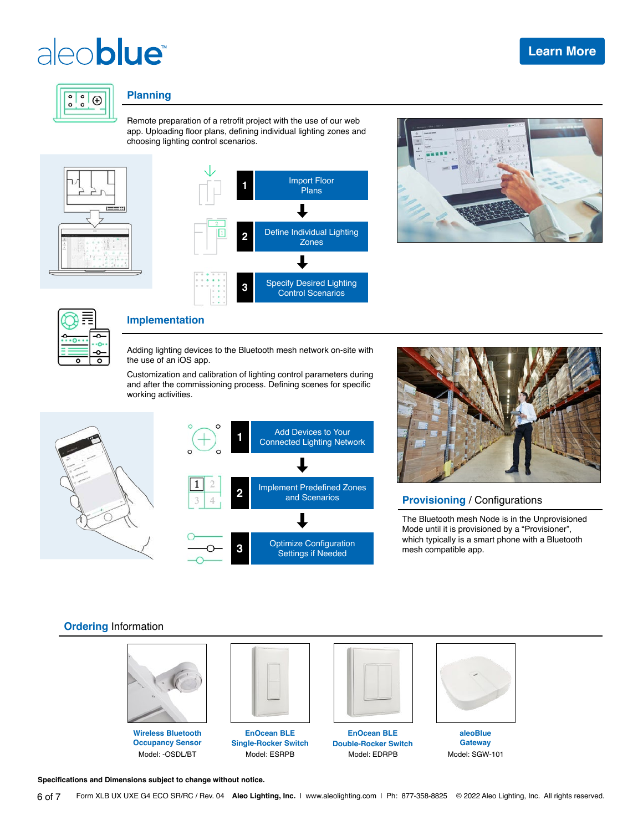# aleo**blue**



#### **Planning**

Remote preparation of a retrofit project with the use of our web app. Uploading floor plans, defining individual lighting zones and choosing lighting control scenarios.









#### **Implementation**

Adding lighting devices to the Bluetooth mesh network on-site with the use of an iOS app.

Customization and calibration of lighting control parameters during and after the commissioning process. Defining scenes for specific working activities.





#### **Provisioning** / Configurations

The Bluetooth mesh Node is in the Unprovisioned Mode until it is provisioned by a "Provisioner", which typically is a smart phone with a Bluetooth mesh compatible app.

#### **Ordering** Information



**Wireless Bluetooth Occupancy Sensor** Model: -OSDL/BT



**EnOcean BLE Single-Rocker Switch** Model: ESRPB



**EnOcean BLE Double-Rocker Switch** Model: EDRPB



**aleoBlue Gateway** Model: SGW-101

**Specifications and Dimensions subject to change without notice.**